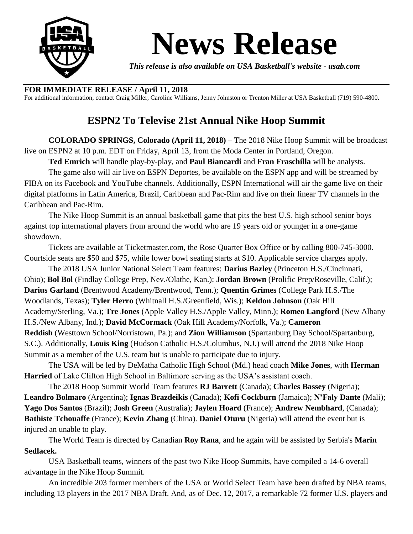

## **News Release**

*This release is also available on USA Basketball's website - usab.com*

## **FOR IMMEDIATE RELEASE / April 11, 2018**

For additional information, contact Craig Miller, Caroline Williams, Jenny Johnston or Trenton Miller at USA Basketball (719) 590-4800.

## **ESPN2 To Televise 21st Annual Nike Hoop Summit**

**COLORADO SPRINGS, Colorado (April 11, 2018) –** The 2018 Nike Hoop Summit will be broadcast live on ESPN2 at 10 p.m. EDT on Friday, April 13, from the Moda Center in Portland, Oregon.

**Ted Emrich** will handle play-by-play, and **Paul Biancardi** and **Fran Fraschilla** will be analysts.

The game also will air live on ESPN Deportes, be available on the ESPN app and will be streamed by FIBA on its Facebook and YouTube channels. Additionally, ESPN International will air the game live on their digital platforms in Latin America, Brazil, Caribbean and Pac-Rim and live on their linear TV channels in the Caribbean and Pac-Rim.

The Nike Hoop Summit is an annual basketball game that pits the best U.S. high school senior boys against top international players from around the world who are 19 years old or younger in a one-game showdown.

Tickets are available at [Ticketmaster.com,](https://www1.ticketmaster.com/nike-hoop-summit-portland-oregon-04-13-2018/event/0F0053929D891B2D?artistid=24920&majorcatid=10004&minorcatid=7&tm_link=artist_msg-0_0F0053929D891B2D) the Rose Quarter Box Office or by calling 800-745-3000. Courtside seats are \$50 and \$75, while lower bowl seating starts at \$10. Applicable service charges apply.

The 2018 USA Junior National Select Team features: **Darius Bazley** (Princeton H.S./Cincinnati, Ohio); **Bol Bol** (Findlay College Prep, Nev./Olathe, Kan.); **Jordan Brown** (Prolific Prep/Roseville, Calif.); **Darius Garland** (Brentwood Academy/Brentwood, Tenn.); **Quentin Grimes** (College Park H.S./The Woodlands, Texas); **Tyler Herro** (Whitnall H.S./Greenfield, Wis.); **Keldon Johnson** (Oak Hill Academy/Sterling, Va.); **Tre Jones** (Apple Valley H.S./Apple Valley, Minn.); **Romeo Langford** (New Albany H.S./New Albany, Ind.); **David McCormack** (Oak Hill Academy/Norfolk, Va.); **Cameron Reddish** (Westtown School/Norristown, Pa.); and **Zion Williamson** (Spartanburg Day School/Spartanburg, S.C.). Additionally, **Louis King** (Hudson Catholic H.S./Columbus, N.J.) will attend the 2018 Nike Hoop Summit as a member of the U.S. team but is unable to participate due to injury.

The USA will be led by DeMatha Catholic High School (Md.) head coach **Mike Jones**, with **Herman Harried** of Lake Clifton High School in Baltimore serving as the USA's assistant coach.

The 2018 Hoop Summit World Team features **RJ Barrett** (Canada); **Charles Bassey** (Nigeria); **Leandro Bolmaro** (Argentina); **Ignas Brazdeikis** (Canada); **Kofi Cockburn** (Jamaica); **N'Faly Dante** (Mali); **Yago Dos Santos** (Brazil); **Josh Green** (Australia); **Jaylen Hoard** (France); **Andrew Nembhard**, (Canada); **Bathiste Tchouaffe** (France); **Kevin Zhang** (China). **Daniel Oturu** (Nigeria) will attend the event but is injured an unable to play.

The World Team is directed by Canadian **Roy Rana**, and he again will be assisted by Serbia's **Marin Sedlacek.**

USA Basketball teams, winners of the past two Nike Hoop Summits, have compiled a 14-6 overall advantage in the Nike Hoop Summit.

An incredible 203 former members of the USA or World Select Team have been drafted by NBA teams, including 13 players in the 2017 NBA Draft. And, as of Dec. 12, 2017, a remarkable 72 former U.S. players and